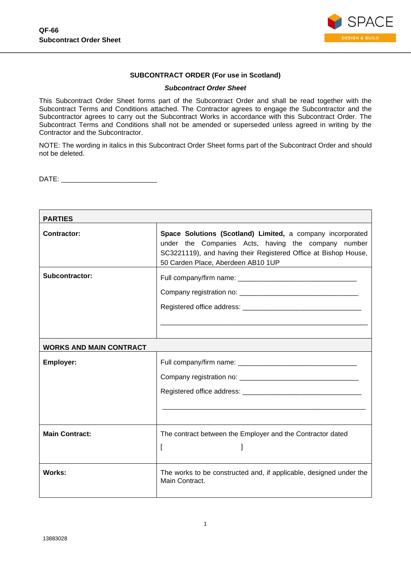

## **SUBCONTRACT ORDER (For use in Scotland)**

#### *Subcontract Order Sheet*

This Subcontract Order Sheet forms part of the Subcontract Order and shall be read together with the Subcontract Terms and Conditions attached. The Contractor agrees to engage the Subcontractor and the Subcontractor agrees to carry out the Subcontract Works in accordance with this Subcontract Order. The Subcontract Terms and Conditions shall not be amended or superseded unless agreed in writing by the Contractor and the Subcontractor.

NOTE: The wording in italics in this Subcontract Order Sheet forms part of the Subcontract Order and should not be deleted.

DATE:

| <b>PARTIES</b>                 |                                                                                                                                                                                                                            |  |
|--------------------------------|----------------------------------------------------------------------------------------------------------------------------------------------------------------------------------------------------------------------------|--|
| <b>Contractor:</b>             | Space Solutions (Scotland) Limited, a company incorporated<br>under the Companies Acts, having the company number<br>SC3221119), and having their Registered Office at Bishop House,<br>50 Carden Place, Aberdeen AB10 1UP |  |
| Subcontractor:                 |                                                                                                                                                                                                                            |  |
| <b>WORKS AND MAIN CONTRACT</b> |                                                                                                                                                                                                                            |  |
| <b>Employer:</b>               |                                                                                                                                                                                                                            |  |
| <b>Main Contract:</b>          | The contract between the Employer and the Contractor dated<br>I<br>1                                                                                                                                                       |  |
| <b>Works:</b>                  | The works to be constructed and, if applicable, designed under the<br>Main Contract.                                                                                                                                       |  |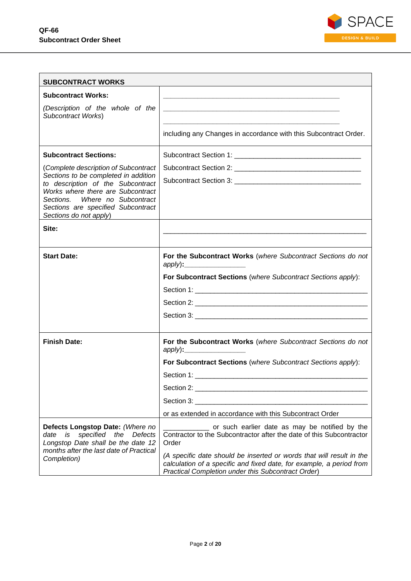

| <b>SUBCONTRACT WORKS</b>                                                                                                                                                                                            |                                                                                                                                                                                                    |
|---------------------------------------------------------------------------------------------------------------------------------------------------------------------------------------------------------------------|----------------------------------------------------------------------------------------------------------------------------------------------------------------------------------------------------|
| <b>Subcontract Works:</b>                                                                                                                                                                                           |                                                                                                                                                                                                    |
| (Description of the whole of the<br>Subcontract Works)                                                                                                                                                              |                                                                                                                                                                                                    |
|                                                                                                                                                                                                                     | including any Changes in accordance with this Subcontract Order.                                                                                                                                   |
| <b>Subcontract Sections:</b>                                                                                                                                                                                        |                                                                                                                                                                                                    |
| (Complete description of Subcontract                                                                                                                                                                                |                                                                                                                                                                                                    |
| Sections to be completed in addition<br>to description of the Subcontract<br>Works where there are Subcontract<br>Where no Subcontract<br>Sections.<br>Sections are specified Subcontract<br>Sections do not apply) |                                                                                                                                                                                                    |
| Site:                                                                                                                                                                                                               |                                                                                                                                                                                                    |
|                                                                                                                                                                                                                     |                                                                                                                                                                                                    |
| <b>Start Date:</b>                                                                                                                                                                                                  | For the Subcontract Works (where Subcontract Sections do not                                                                                                                                       |
|                                                                                                                                                                                                                     | For Subcontract Sections (where Subcontract Sections apply):                                                                                                                                       |
|                                                                                                                                                                                                                     |                                                                                                                                                                                                    |
|                                                                                                                                                                                                                     |                                                                                                                                                                                                    |
|                                                                                                                                                                                                                     |                                                                                                                                                                                                    |
|                                                                                                                                                                                                                     |                                                                                                                                                                                                    |
| <b>Finish Date:</b>                                                                                                                                                                                                 | For the Subcontract Works (where Subcontract Sections do not                                                                                                                                       |
|                                                                                                                                                                                                                     | For Subcontract Sections (where Subcontract Sections apply):                                                                                                                                       |
|                                                                                                                                                                                                                     |                                                                                                                                                                                                    |
|                                                                                                                                                                                                                     |                                                                                                                                                                                                    |
|                                                                                                                                                                                                                     |                                                                                                                                                                                                    |
|                                                                                                                                                                                                                     | or as extended in accordance with this Subcontract Order                                                                                                                                           |
| Defects Longstop Date: (Where no<br>specified the Defects<br>is<br>date<br>Longstop Date shall be the date 12<br>months after the last date of Practical                                                            | ____ or such earlier date as may be notified by the<br>Contractor to the Subcontractor after the date of this Subcontractor<br>Order                                                               |
| Completion)                                                                                                                                                                                                         | (A specific date should be inserted or words that will result in the<br>calculation of a specific and fixed date, for example, a period from<br>Practical Completion under this Subcontract Order) |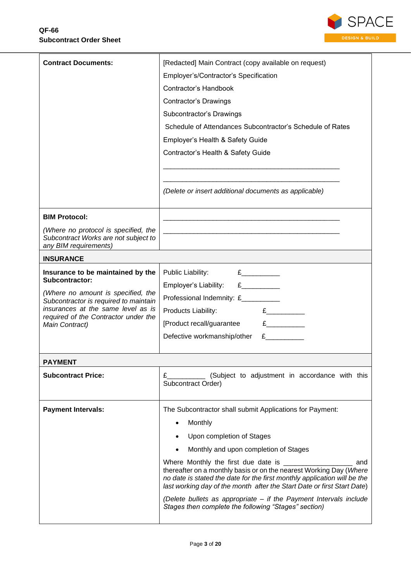

| <b>Contract Documents:</b><br>[Redacted] Main Contract (copy available on request)<br>Employer's/Contractor's Specification<br><b>Contractor's Handbook</b><br><b>Contractor's Drawings</b><br>Subcontractor's Drawings<br>Schedule of Attendances Subcontractor's Schedule of Rates<br>Employer's Health & Safety Guide<br>Contractor's Health & Safety Guide<br>(Delete or insert additional documents as applicable)<br><b>BIM Protocol:</b><br>(Where no protocol is specified, the<br>Subcontract Works are not subject to<br>any BIM requirements)<br><b>INSURANCE</b><br>$E$ and $E$ and $E$ and $E$ and $E$ and $E$ and $E$ and $E$ and $E$ and $E$ and $E$ and $E$ and $E$ and $E$ and $E$ and $E$ and $E$ and $E$ and $E$ and $E$ and $E$ and $E$ and $E$ and $E$ and $E$ and $E$ and $E$ and $E$ a<br>Insurance to be maintained by the<br>Public Liability:<br>Subcontractor:<br>Employer's Liability: £_________<br>(Where no amount is specified, the<br>Professional Indemnity: £_________<br>Subcontractor is required to maintain<br>insurances at the same level as is<br>E<br>Products Liability:<br>required of the Contractor under the<br>[Product recall/guarantee<br>Main Contract)<br>E<br>Defective workmanship/other<br><b>PAYMENT</b><br><b>Subcontract Price:</b><br>(Subject to adjustment in accordance with this<br>£<br>Subcontract Order)<br><b>Payment Intervals:</b><br>The Subcontractor shall submit Applications for Payment:<br>Monthly<br>Upon completion of Stages<br>Monthly and upon completion of Stages<br>Where Monthly the first due date is __________<br>and<br>thereafter on a monthly basis or on the nearest Working Day (Where<br>no date is stated the date for the first monthly application will be the<br>last working day of the month after the Start Date or first Start Date)<br>(Delete bullets as appropriate – if the Payment Intervals include<br>Stages then complete the following "Stages" section) |  |  |  |
|--------------------------------------------------------------------------------------------------------------------------------------------------------------------------------------------------------------------------------------------------------------------------------------------------------------------------------------------------------------------------------------------------------------------------------------------------------------------------------------------------------------------------------------------------------------------------------------------------------------------------------------------------------------------------------------------------------------------------------------------------------------------------------------------------------------------------------------------------------------------------------------------------------------------------------------------------------------------------------------------------------------------------------------------------------------------------------------------------------------------------------------------------------------------------------------------------------------------------------------------------------------------------------------------------------------------------------------------------------------------------------------------------------------------------------------------------------------------------------------------------------------------------------------------------------------------------------------------------------------------------------------------------------------------------------------------------------------------------------------------------------------------------------------------------------------------------------------------------------------------------------------------------------------------------------------------------------------------------|--|--|--|
|                                                                                                                                                                                                                                                                                                                                                                                                                                                                                                                                                                                                                                                                                                                                                                                                                                                                                                                                                                                                                                                                                                                                                                                                                                                                                                                                                                                                                                                                                                                                                                                                                                                                                                                                                                                                                                                                                                                                                                          |  |  |  |
|                                                                                                                                                                                                                                                                                                                                                                                                                                                                                                                                                                                                                                                                                                                                                                                                                                                                                                                                                                                                                                                                                                                                                                                                                                                                                                                                                                                                                                                                                                                                                                                                                                                                                                                                                                                                                                                                                                                                                                          |  |  |  |
|                                                                                                                                                                                                                                                                                                                                                                                                                                                                                                                                                                                                                                                                                                                                                                                                                                                                                                                                                                                                                                                                                                                                                                                                                                                                                                                                                                                                                                                                                                                                                                                                                                                                                                                                                                                                                                                                                                                                                                          |  |  |  |
|                                                                                                                                                                                                                                                                                                                                                                                                                                                                                                                                                                                                                                                                                                                                                                                                                                                                                                                                                                                                                                                                                                                                                                                                                                                                                                                                                                                                                                                                                                                                                                                                                                                                                                                                                                                                                                                                                                                                                                          |  |  |  |
|                                                                                                                                                                                                                                                                                                                                                                                                                                                                                                                                                                                                                                                                                                                                                                                                                                                                                                                                                                                                                                                                                                                                                                                                                                                                                                                                                                                                                                                                                                                                                                                                                                                                                                                                                                                                                                                                                                                                                                          |  |  |  |
|                                                                                                                                                                                                                                                                                                                                                                                                                                                                                                                                                                                                                                                                                                                                                                                                                                                                                                                                                                                                                                                                                                                                                                                                                                                                                                                                                                                                                                                                                                                                                                                                                                                                                                                                                                                                                                                                                                                                                                          |  |  |  |
|                                                                                                                                                                                                                                                                                                                                                                                                                                                                                                                                                                                                                                                                                                                                                                                                                                                                                                                                                                                                                                                                                                                                                                                                                                                                                                                                                                                                                                                                                                                                                                                                                                                                                                                                                                                                                                                                                                                                                                          |  |  |  |
|                                                                                                                                                                                                                                                                                                                                                                                                                                                                                                                                                                                                                                                                                                                                                                                                                                                                                                                                                                                                                                                                                                                                                                                                                                                                                                                                                                                                                                                                                                                                                                                                                                                                                                                                                                                                                                                                                                                                                                          |  |  |  |
|                                                                                                                                                                                                                                                                                                                                                                                                                                                                                                                                                                                                                                                                                                                                                                                                                                                                                                                                                                                                                                                                                                                                                                                                                                                                                                                                                                                                                                                                                                                                                                                                                                                                                                                                                                                                                                                                                                                                                                          |  |  |  |
|                                                                                                                                                                                                                                                                                                                                                                                                                                                                                                                                                                                                                                                                                                                                                                                                                                                                                                                                                                                                                                                                                                                                                                                                                                                                                                                                                                                                                                                                                                                                                                                                                                                                                                                                                                                                                                                                                                                                                                          |  |  |  |
|                                                                                                                                                                                                                                                                                                                                                                                                                                                                                                                                                                                                                                                                                                                                                                                                                                                                                                                                                                                                                                                                                                                                                                                                                                                                                                                                                                                                                                                                                                                                                                                                                                                                                                                                                                                                                                                                                                                                                                          |  |  |  |
|                                                                                                                                                                                                                                                                                                                                                                                                                                                                                                                                                                                                                                                                                                                                                                                                                                                                                                                                                                                                                                                                                                                                                                                                                                                                                                                                                                                                                                                                                                                                                                                                                                                                                                                                                                                                                                                                                                                                                                          |  |  |  |
|                                                                                                                                                                                                                                                                                                                                                                                                                                                                                                                                                                                                                                                                                                                                                                                                                                                                                                                                                                                                                                                                                                                                                                                                                                                                                                                                                                                                                                                                                                                                                                                                                                                                                                                                                                                                                                                                                                                                                                          |  |  |  |
|                                                                                                                                                                                                                                                                                                                                                                                                                                                                                                                                                                                                                                                                                                                                                                                                                                                                                                                                                                                                                                                                                                                                                                                                                                                                                                                                                                                                                                                                                                                                                                                                                                                                                                                                                                                                                                                                                                                                                                          |  |  |  |
|                                                                                                                                                                                                                                                                                                                                                                                                                                                                                                                                                                                                                                                                                                                                                                                                                                                                                                                                                                                                                                                                                                                                                                                                                                                                                                                                                                                                                                                                                                                                                                                                                                                                                                                                                                                                                                                                                                                                                                          |  |  |  |
|                                                                                                                                                                                                                                                                                                                                                                                                                                                                                                                                                                                                                                                                                                                                                                                                                                                                                                                                                                                                                                                                                                                                                                                                                                                                                                                                                                                                                                                                                                                                                                                                                                                                                                                                                                                                                                                                                                                                                                          |  |  |  |
|                                                                                                                                                                                                                                                                                                                                                                                                                                                                                                                                                                                                                                                                                                                                                                                                                                                                                                                                                                                                                                                                                                                                                                                                                                                                                                                                                                                                                                                                                                                                                                                                                                                                                                                                                                                                                                                                                                                                                                          |  |  |  |
|                                                                                                                                                                                                                                                                                                                                                                                                                                                                                                                                                                                                                                                                                                                                                                                                                                                                                                                                                                                                                                                                                                                                                                                                                                                                                                                                                                                                                                                                                                                                                                                                                                                                                                                                                                                                                                                                                                                                                                          |  |  |  |
|                                                                                                                                                                                                                                                                                                                                                                                                                                                                                                                                                                                                                                                                                                                                                                                                                                                                                                                                                                                                                                                                                                                                                                                                                                                                                                                                                                                                                                                                                                                                                                                                                                                                                                                                                                                                                                                                                                                                                                          |  |  |  |
|                                                                                                                                                                                                                                                                                                                                                                                                                                                                                                                                                                                                                                                                                                                                                                                                                                                                                                                                                                                                                                                                                                                                                                                                                                                                                                                                                                                                                                                                                                                                                                                                                                                                                                                                                                                                                                                                                                                                                                          |  |  |  |
|                                                                                                                                                                                                                                                                                                                                                                                                                                                                                                                                                                                                                                                                                                                                                                                                                                                                                                                                                                                                                                                                                                                                                                                                                                                                                                                                                                                                                                                                                                                                                                                                                                                                                                                                                                                                                                                                                                                                                                          |  |  |  |
|                                                                                                                                                                                                                                                                                                                                                                                                                                                                                                                                                                                                                                                                                                                                                                                                                                                                                                                                                                                                                                                                                                                                                                                                                                                                                                                                                                                                                                                                                                                                                                                                                                                                                                                                                                                                                                                                                                                                                                          |  |  |  |
|                                                                                                                                                                                                                                                                                                                                                                                                                                                                                                                                                                                                                                                                                                                                                                                                                                                                                                                                                                                                                                                                                                                                                                                                                                                                                                                                                                                                                                                                                                                                                                                                                                                                                                                                                                                                                                                                                                                                                                          |  |  |  |
|                                                                                                                                                                                                                                                                                                                                                                                                                                                                                                                                                                                                                                                                                                                                                                                                                                                                                                                                                                                                                                                                                                                                                                                                                                                                                                                                                                                                                                                                                                                                                                                                                                                                                                                                                                                                                                                                                                                                                                          |  |  |  |
|                                                                                                                                                                                                                                                                                                                                                                                                                                                                                                                                                                                                                                                                                                                                                                                                                                                                                                                                                                                                                                                                                                                                                                                                                                                                                                                                                                                                                                                                                                                                                                                                                                                                                                                                                                                                                                                                                                                                                                          |  |  |  |
|                                                                                                                                                                                                                                                                                                                                                                                                                                                                                                                                                                                                                                                                                                                                                                                                                                                                                                                                                                                                                                                                                                                                                                                                                                                                                                                                                                                                                                                                                                                                                                                                                                                                                                                                                                                                                                                                                                                                                                          |  |  |  |
|                                                                                                                                                                                                                                                                                                                                                                                                                                                                                                                                                                                                                                                                                                                                                                                                                                                                                                                                                                                                                                                                                                                                                                                                                                                                                                                                                                                                                                                                                                                                                                                                                                                                                                                                                                                                                                                                                                                                                                          |  |  |  |
|                                                                                                                                                                                                                                                                                                                                                                                                                                                                                                                                                                                                                                                                                                                                                                                                                                                                                                                                                                                                                                                                                                                                                                                                                                                                                                                                                                                                                                                                                                                                                                                                                                                                                                                                                                                                                                                                                                                                                                          |  |  |  |
|                                                                                                                                                                                                                                                                                                                                                                                                                                                                                                                                                                                                                                                                                                                                                                                                                                                                                                                                                                                                                                                                                                                                                                                                                                                                                                                                                                                                                                                                                                                                                                                                                                                                                                                                                                                                                                                                                                                                                                          |  |  |  |
|                                                                                                                                                                                                                                                                                                                                                                                                                                                                                                                                                                                                                                                                                                                                                                                                                                                                                                                                                                                                                                                                                                                                                                                                                                                                                                                                                                                                                                                                                                                                                                                                                                                                                                                                                                                                                                                                                                                                                                          |  |  |  |
|                                                                                                                                                                                                                                                                                                                                                                                                                                                                                                                                                                                                                                                                                                                                                                                                                                                                                                                                                                                                                                                                                                                                                                                                                                                                                                                                                                                                                                                                                                                                                                                                                                                                                                                                                                                                                                                                                                                                                                          |  |  |  |
|                                                                                                                                                                                                                                                                                                                                                                                                                                                                                                                                                                                                                                                                                                                                                                                                                                                                                                                                                                                                                                                                                                                                                                                                                                                                                                                                                                                                                                                                                                                                                                                                                                                                                                                                                                                                                                                                                                                                                                          |  |  |  |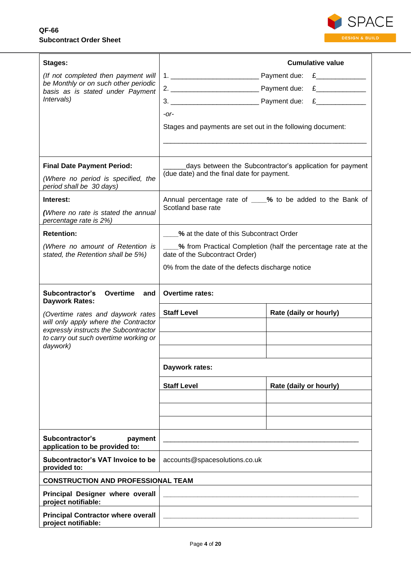

| Stages:                                                                                                                       |                                                                                                        | <b>Cumulative value</b>                                       |
|-------------------------------------------------------------------------------------------------------------------------------|--------------------------------------------------------------------------------------------------------|---------------------------------------------------------------|
| (If not completed then payment will<br>be Monthly or on such other periodic<br>basis as is stated under Payment<br>Intervals) |                                                                                                        |                                                               |
|                                                                                                                               |                                                                                                        | E                                                             |
|                                                                                                                               |                                                                                                        | E                                                             |
|                                                                                                                               | $-Or-$                                                                                                 |                                                               |
|                                                                                                                               | Stages and payments are set out in the following document:                                             |                                                               |
|                                                                                                                               |                                                                                                        |                                                               |
|                                                                                                                               |                                                                                                        |                                                               |
| <b>Final Date Payment Period:</b>                                                                                             | days between the Subcontractor's application for payment<br>(due date) and the final date for payment. |                                                               |
| (Where no period is specified, the<br>period shall be 30 days)                                                                |                                                                                                        |                                                               |
| Interest:                                                                                                                     | Annual percentage rate of ____% to be added to the Bank of                                             |                                                               |
| (Where no rate is stated the annual<br>percentage rate is 2%)                                                                 | Scotland base rate                                                                                     |                                                               |
| <b>Retention:</b>                                                                                                             | % at the date of this Subcontract Order                                                                |                                                               |
| (Where no amount of Retention is                                                                                              |                                                                                                        | _% from Practical Completion (half the percentage rate at the |
| stated, the Retention shall be 5%)                                                                                            | date of the Subcontract Order)                                                                         |                                                               |
|                                                                                                                               | 0% from the date of the defects discharge notice                                                       |                                                               |
| Subcontractor's<br>Overtime<br>and<br><b>Daywork Rates:</b>                                                                   | <b>Overtime rates:</b>                                                                                 |                                                               |
| (Overtime rates and daywork rates                                                                                             | <b>Staff Level</b>                                                                                     | Rate (daily or hourly)                                        |
| will only apply where the Contractor<br>expressly instructs the Subcontractor                                                 |                                                                                                        |                                                               |
| to carry out such overtime working or                                                                                         |                                                                                                        |                                                               |
| daywork)                                                                                                                      |                                                                                                        |                                                               |
|                                                                                                                               | Daywork rates:                                                                                         |                                                               |
|                                                                                                                               | <b>Staff Level</b>                                                                                     | Rate (daily or hourly)                                        |
|                                                                                                                               |                                                                                                        |                                                               |
|                                                                                                                               |                                                                                                        |                                                               |
|                                                                                                                               |                                                                                                        |                                                               |
| Subcontractor's<br>payment<br>application to be provided to:                                                                  |                                                                                                        |                                                               |
| Subcontractor's VAT Invoice to be<br>provided to:                                                                             | accounts@spacesolutions.co.uk                                                                          |                                                               |
| <b>CONSTRUCTION AND PROFESSIONAL TEAM</b>                                                                                     |                                                                                                        |                                                               |
| Principal Designer where overall<br>project notifiable:                                                                       |                                                                                                        |                                                               |
| <b>Principal Contractor where overall</b><br>project notifiable:                                                              |                                                                                                        |                                                               |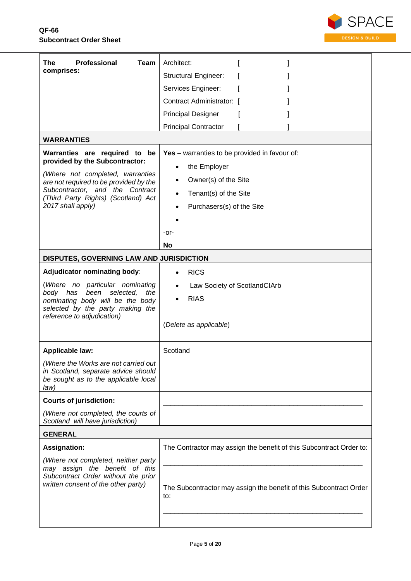

| Professional<br>Team<br>The<br>comprises:                                                                                                                                                                                                                                                                                                                                                                                                                                                                        | Architect:<br><b>Structural Engineer:</b><br>Services Engineer:<br>Contract Administrator: [<br><b>Principal Designer</b><br><b>Principal Contractor</b>                                                                                                                                 |
|------------------------------------------------------------------------------------------------------------------------------------------------------------------------------------------------------------------------------------------------------------------------------------------------------------------------------------------------------------------------------------------------------------------------------------------------------------------------------------------------------------------|------------------------------------------------------------------------------------------------------------------------------------------------------------------------------------------------------------------------------------------------------------------------------------------|
| <b>WARRANTIES</b>                                                                                                                                                                                                                                                                                                                                                                                                                                                                                                |                                                                                                                                                                                                                                                                                          |
| Warranties are required to be<br>provided by the Subcontractor:<br>(Where not completed, warranties<br>are not required to be provided by the<br>Subcontractor, and the Contract<br>(Third Party Rights) (Scotland) Act<br>2017 shall apply)<br>DISPUTES, GOVERNING LAW AND JURISDICTION<br><b>Adjudicator nominating body:</b><br>(Where no particular nominating<br>selected,<br>body has<br>been<br>the<br>nominating body will be the body<br>selected by the party making the<br>reference to adjudication) | Yes - warranties to be provided in favour of:<br>the Employer<br>$\bullet$<br>Owner(s) of the Site<br>$\bullet$<br>Tenant(s) of the Site<br>Purchasers(s) of the Site<br>-or-<br>No<br><b>RICS</b><br>Law Society of ScotlandClArb<br>$\bullet$<br><b>RIAS</b><br>(Delete as applicable) |
| <b>Applicable law:</b>                                                                                                                                                                                                                                                                                                                                                                                                                                                                                           | Scotland                                                                                                                                                                                                                                                                                 |
| (Where the Works are not carried out<br>in Scotland, separate advice should<br>be sought as to the applicable local<br>law)                                                                                                                                                                                                                                                                                                                                                                                      |                                                                                                                                                                                                                                                                                          |
| <b>Courts of jurisdiction:</b>                                                                                                                                                                                                                                                                                                                                                                                                                                                                                   |                                                                                                                                                                                                                                                                                          |
| (Where not completed, the courts of<br>Scotland will have jurisdiction)                                                                                                                                                                                                                                                                                                                                                                                                                                          |                                                                                                                                                                                                                                                                                          |
| <b>GENERAL</b>                                                                                                                                                                                                                                                                                                                                                                                                                                                                                                   |                                                                                                                                                                                                                                                                                          |
| <b>Assignation:</b><br>(Where not completed, neither party<br>may assign the benefit of this<br>Subcontract Order without the prior<br>written consent of the other party)                                                                                                                                                                                                                                                                                                                                       | The Contractor may assign the benefit of this Subcontract Order to:<br>The Subcontractor may assign the benefit of this Subcontract Order<br>to:                                                                                                                                         |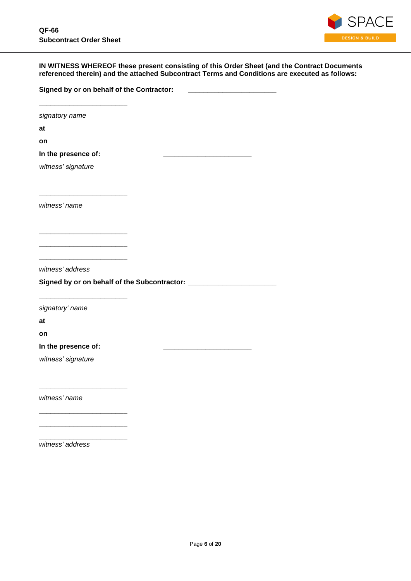**\_\_\_\_\_\_\_\_\_\_\_\_\_\_\_\_\_\_\_\_\_\_\_**

**\_\_\_\_\_\_\_\_\_\_\_\_\_\_\_\_\_\_\_\_\_\_\_**

**\_\_\_\_\_\_\_\_\_\_\_\_\_\_\_\_\_\_\_\_\_\_\_ \_\_\_\_\_\_\_\_\_\_\_\_\_\_\_\_\_\_\_\_\_\_\_ \_\_\_\_\_\_\_\_\_\_\_\_\_\_\_\_\_\_\_\_\_\_\_**

**\_\_\_\_\_\_\_\_\_\_\_\_\_\_\_\_\_\_\_\_\_\_\_**

**\_\_\_\_\_\_\_\_\_\_\_\_\_\_\_\_\_\_\_\_\_\_\_**

**\_\_\_\_\_\_\_\_\_\_\_\_\_\_\_\_\_\_\_\_\_\_\_ \_\_\_\_\_\_\_\_\_\_\_\_\_\_\_\_\_\_\_\_\_\_\_ \_\_\_\_\_\_\_\_\_\_\_\_\_\_\_\_\_\_\_\_\_\_\_**



### **IN WITNESS WHEREOF these present consisting of this Order Sheet (and the Contract Documents referenced therein) and the attached Subcontract Terms and Conditions are executed as follows:**

**Signed by or on behalf of the Contractor: \_\_\_\_\_\_\_\_\_\_\_\_\_\_\_\_\_\_\_\_\_\_\_**

*signatory name*

**at**

**on**

**In the presence of: \_\_\_\_\_\_\_\_\_\_\_\_\_\_\_\_\_\_\_\_\_\_\_**

*witness' signature*

*witness' name*

*witness' address*

**Signed by or on behalf of the Subcontractor: \_\_\_\_\_\_\_\_\_\_\_\_\_\_\_\_\_\_\_\_\_\_\_**

*signatory' name*

**at**

**on**

**In the presence of: \_\_\_\_\_\_\_\_\_\_\_\_\_\_\_\_\_\_\_\_\_\_\_**

*witness' signature*

*witness' name*

*witness' address*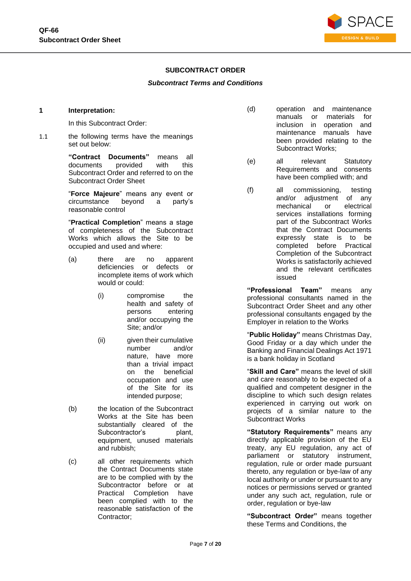

## **SUBCONTRACT ORDER**

#### *Subcontract Terms and Conditions*

#### **1 Interpretation:**

In this Subcontract Order:

1.1 the following terms have the meanings set out below:

> **"Contract Documents"** means all documents provided with this Subcontract Order and referred to on the Subcontract Order Sheet

> "**Force Majeure**" means any event or circumstance beyond a party's reasonable control

> "**Practical Completion**" means a stage of completeness of the Subcontract Works which allows the Site to be occupied and used and where:

- (a) there are no apparent deficiencies or defects or incomplete items of work which would or could:
	- (i) compromise the health and safety of persons entering and/or occupying the Site; and/or
	- (ii) given their cumulative number and/or nature, have more than a trivial impact on the beneficial occupation and use of the Site for its intended purpose;
- (b) the location of the Subcontract Works at the Site has been substantially cleared of the Subcontractor's plant, equipment, unused materials and rubbish;
- (c) all other requirements which the Contract Documents state are to be complied with by the Subcontractor before or at Practical Completion have been complied with to the reasonable satisfaction of the Contractor;
- (d) operation and maintenance manuals or materials for inclusion in operation and maintenance manuals have been provided relating to the Subcontract Works;
- (e) all relevant Statutory Requirements and consents have been complied with; and
- (f) all commissioning, testing and/or adjustment of any mechanical or electrical services installations forming part of the Subcontract Works that the Contract Documents expressly state is to be completed before Practical Completion of the Subcontract Works is satisfactorily achieved and the relevant certificates issued

**"Professional Team"** means any professional consultants named in the Subcontract Order Sheet and any other professional consultants engaged by the Employer in relation to the Works

"**Public Holiday"** means Christmas Day, Good Friday or a day which under the Banking and Financial Dealings Act 1971 is a bank holiday in Scotland

"**Skill and Care"** means the level of skill and care reasonably to be expected of a qualified and competent designer in the discipline to which such design relates experienced in carrying out work on projects of a similar nature to the Subcontract Works

**"Statutory Requirements"** means any directly applicable provision of the EU treaty, any EU regulation, any act of parliament or statutory instrument, regulation, rule or order made pursuant thereto, any regulation or bye-law of any local authority or under or pursuant to any notices or permissions served or granted under any such act, regulation, rule or order, regulation or bye-law

**"Subcontract Order"** means together these Terms and Conditions, the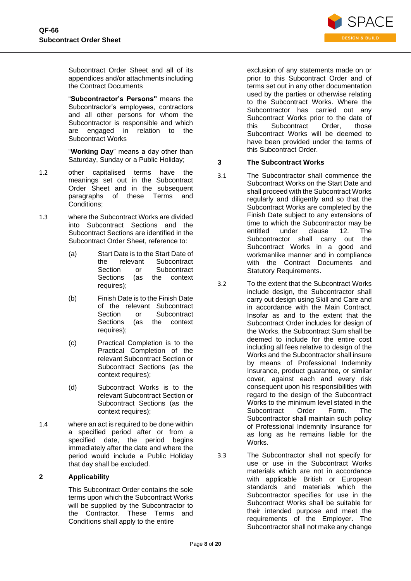

Subcontract Order Sheet and all of its appendices and/or attachments including the Contract Documents

"**Subcontractor's Persons"** means the Subcontractor's employees, contractors and all other persons for whom the Subcontractor is responsible and which are engaged in relation to the Subcontract Works

"**Working Day**" means a day other than Saturday, Sunday or a Public Holiday;

- 1.2 other capitalised terms have the meanings set out in the Subcontract Order Sheet and in the subsequent paragraphs of these Terms and Conditions;
- 1.3 where the Subcontract Works are divided into Subcontract Sections and the Subcontract Sections are identified in the Subcontract Order Sheet, reference to:
	- (a) Start Date is to the Start Date of the relevant Subcontract Section or Subcontract Sections (as the context requires);
	- (b) Finish Date is to the Finish Date of the relevant Subcontract Section or Subcontract Sections (as the context requires);
	- (c) Practical Completion is to the Practical Completion of the relevant Subcontract Section or Subcontract Sections (as the context requires);
	- (d) Subcontract Works is to the relevant Subcontract Section or Subcontract Sections (as the context requires);
- 1.4 where an act is required to be done within a specified period after or from a specified date, the period begins immediately after the date and where the period would include a Public Holiday that day shall be excluded.

## **2 Applicability**

This Subcontract Order contains the sole terms upon which the Subcontract Works will be supplied by the Subcontractor to the Contractor. These Terms and Conditions shall apply to the entire

exclusion of any statements made on or prior to this Subcontract Order and of terms set out in any other documentation used by the parties or otherwise relating to the Subcontract Works. Where the Subcontractor has carried out any Subcontract Works prior to the date of this Subcontract Order, those Subcontract Works will be deemed to have been provided under the terms of this Subcontract Order.

## **3 The Subcontract Works**

- 3.1 The Subcontractor shall commence the Subcontract Works on the Start Date and shall proceed with the Subcontract Works regularly and diligently and so that the Subcontract Works are completed by the Finish Date subject to any extensions of time to which the Subcontractor may be entitled under clause [12.](#page-11-0) The Subcontractor shall carry out the Subcontract Works in a good and workmanlike manner and in compliance with the Contract Documents and Statutory Requirements.
- 3.2 To the extent that the Subcontract Works include design, the Subcontractor shall carry out design using Skill and Care and in accordance with the Main Contract. Insofar as and to the extent that the Subcontract Order includes for design of the Works, the Subcontract Sum shall be deemed to include for the entire cost including all fees relative to design of the Works and the Subcontractor shall insure by means of Professional Indemnity Insurance, product guarantee, or similar cover, against each and every risk consequent upon his responsibilities with regard to the design of the Subcontract Works to the minimum level stated in the Subcontract Order Form. The Subcontractor shall maintain such policy of Professional Indemnity Insurance for as long as he remains liable for the Works.
- 3.3 The Subcontractor shall not specify for use or use in the Subcontract Works materials which are not in accordance with applicable British or European standards and materials which the Subcontractor specifies for use in the Subcontract Works shall be suitable for their intended purpose and meet the requirements of the Employer. The Subcontractor shall not make any change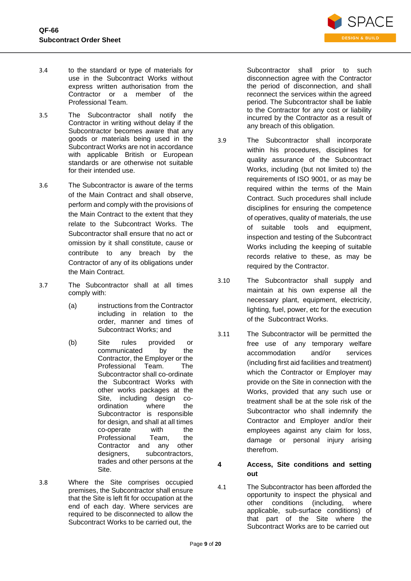

- 3.4 to the standard or type of materials for use in the Subcontract Works without express written authorisation from the Contractor or a member of the Professional Team.
- 3.5 The Subcontractor shall notify the Contractor in writing without delay if the Subcontractor becomes aware that any goods or materials being used in the Subcontract Works are not in accordance with applicable British or European standards or are otherwise not suitable for their intended use.
- <span id="page-8-1"></span>3.6 The Subcontractor is aware of the terms of the Main Contract and shall observe, perform and comply with the provisions of the Main Contract to the extent that they relate to the Subcontract Works. The Subcontractor shall ensure that no act or omission by it shall constitute, cause or contribute to any breach by the Contractor of any of its obligations under the Main Contract.
- 3.7 The Subcontractor shall at all times comply with:
	- (a) instructions from the Contractor including in relation to the order, manner and times of Subcontract Works; and
	- (b) Site rules provided or communicated by the Contractor, the Employer or the Professional Team. The Subcontractor shall co-ordinate the Subcontract Works with other works packages at the Site, including design coordination where the Subcontractor is responsible for design, and shall at all times co-operate with the Professional Team, the Contractor and any other designers, subcontractors, trades and other persons at the Site.
- 3.8 Where the Site comprises occupied premises, the Subcontractor shall ensure that the Site is left fit for occupation at the end of each day. Where services are required to be disconnected to allow the Subcontract Works to be carried out, the

Subcontractor shall prior to such disconnection agree with the Contractor the period of disconnection, and shall reconnect the services within the agreed period. The Subcontractor shall be liable to the Contractor for any cost or liability incurred by the Contractor as a result of any breach of this obligation.

- 3.9 The Subcontractor shall incorporate within his procedures, disciplines for quality assurance of the Subcontract Works, including (but not limited to) the requirements of ISO 9001, or as may be required within the terms of the Main Contract. Such procedures shall include disciplines for ensuring the competence of operatives, quality of materials, the use of suitable tools and equipment, inspection and testing of the Subcontract Works including the keeping of suitable records relative to these, as may be required by the Contractor.
- 3.10 The Subcontractor shall supply and maintain at his own expense all the necessary plant, equipment, electricity, lighting, fuel, power, etc for the execution of the Subcontract Works.
- 3.11 The Subcontractor will be permitted the free use of any temporary welfare accommodation and/or services (including first aid facilities and treatment) which the Contractor or Employer may provide on the Site in connection with the Works, provided that any such use or treatment shall be at the sole risk of the Subcontractor who shall indemnify the Contractor and Employer and/or their employees against any claim for loss, damage or personal injury arising therefrom.
- **4 Access, Site conditions and setting out**
- <span id="page-8-0"></span>4.1 The Subcontractor has been afforded the opportunity to inspect the physical and other conditions (including, where applicable, sub-surface conditions) of that part of the Site where the Subcontract Works are to be carried out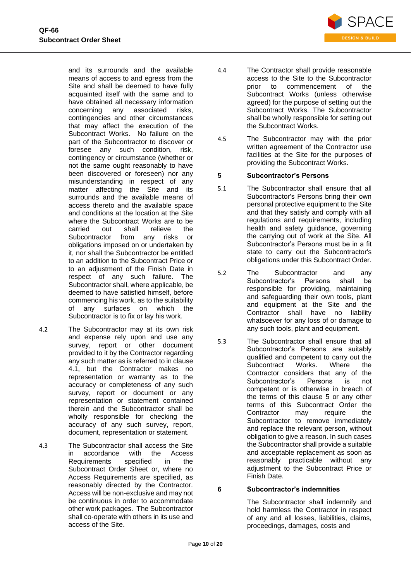

and its surrounds and the available means of access to and egress from the Site and shall be deemed to have fully acquainted itself with the same and to have obtained all necessary information concerning any associated risks, contingencies and other circumstances that may affect the execution of the Subcontract Works. No failure on the part of the Subcontractor to discover or foresee any such condition, risk, contingency or circumstance (whether or not the same ought reasonably to have been discovered or foreseen) nor any misunderstanding in respect of any matter affecting the Site and its surrounds and the available means of access thereto and the available space and conditions at the location at the Site where the Subcontract Works are to be carried out shall relieve the Subcontractor from any risks or obligations imposed on or undertaken by it, nor shall the Subcontractor be entitled to an addition to the Subcontract Price or to an adjustment of the Finish Date in respect of any such failure. The Subcontractor shall, where applicable, be deemed to have satisfied himself, before commencing his work, as to the suitability of any surfaces on which the Subcontractor is to fix or lay his work.

- 4.2 The Subcontractor may at its own risk and expense rely upon and use any survey, report or other document provided to it by the Contractor regarding any such matter as is referred to in clause [4.1,](#page-8-0) but the Contractor makes no representation or warranty as to the accuracy or completeness of any such survey, report or document or any representation or statement contained therein and the Subcontractor shall be wholly responsible for checking the accuracy of any such survey, report, document, representation or statement.
- 4.3 The Subcontractor shall access the Site in accordance with the Access Requirements specified in the Subcontract Order Sheet or, where no Access Requirements are specified, as reasonably directed by the Contractor. Access will be non-exclusive and may not be continuous in order to accommodate other work packages. The Subcontractor shall co-operate with others in its use and access of the Site.
- 4.4 The Contractor shall provide reasonable access to the Site to the Subcontractor<br>prior to commencement of the to commencement of the Subcontract Works (unless otherwise agreed) for the purpose of setting out the Subcontract Works. The Subcontractor shall be wholly responsible for setting out the Subcontract Works.
- 4.5 The Subcontractor may with the prior written agreement of the Contractor use facilities at the Site for the purposes of providing the Subcontract Works.

### <span id="page-9-0"></span>**5 Subcontractor's Persons**

- 5.1 The Subcontractor shall ensure that all Subcontractor's Persons bring their own personal protective equipment to the Site and that they satisfy and comply with all regulations and requirements, including health and safety guidance, governing the carrying out of work at the Site. All Subcontractor's Persons must be in a fit state to carry out the Subcontractor's obligations under this Subcontract Order.
- 5.2 The Subcontractor and any Subcontractor's Persons shall be responsible for providing, maintaining and safeguarding their own tools, plant and equipment at the Site and the Contractor shall have no liability whatsoever for any loss of or damage to any such tools, plant and equipment.
- 5.3 The Subcontractor shall ensure that all Subcontractor's Persons are suitably qualified and competent to carry out the Subcontract Works. Where the Contractor considers that any of the Subcontractor's Persons is not competent or is otherwise in breach of the terms of this clause [5](#page-9-0) or any other terms of this Subcontract Order the Contractor may require the Subcontractor to remove immediately and replace the relevant person, without obligation to give a reason. In such cases the Subcontractor shall provide a suitable and acceptable replacement as soon as reasonably practicable without any adjustment to the Subcontract Price or Finish Date.

## **6 Subcontractor's indemnities**

The Subcontractor shall indemnify and hold harmless the Contractor in respect of any and all losses, liabilities, claims, proceedings, damages, costs and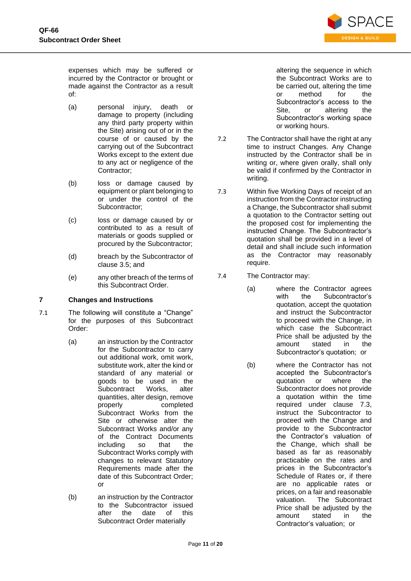

expenses which may be suffered or incurred by the Contractor or brought or made against the Contractor as a result of:

- (a) personal injury, death or damage to property (including any third party property within the Site) arising out of or in the course of or caused by the carrying out of the Subcontract Works except to the extent due to any act or negligence of the Contractor;
- (b) loss or damage caused by equipment or plant belonging to or under the control of the Subcontractor;
- (c) loss or damage caused by or contributed to as a result of materials or goods supplied or procured by the Subcontractor;
- (d) breach by the Subcontractor of clause [3.5;](#page-8-1) and
- (e) any other breach of the terms of this Subcontract Order.

## **7 Changes and Instructions**

7.1 The following will constitute a "Change" for the purposes of this Subcontract Order:

- (a) an instruction by the Contractor for the Subcontractor to carry out additional work, omit work, substitute work, alter the kind or standard of any material or goods to be used in the Subcontract Works, alter quantities, alter design, remove properly completed Subcontract Works from the Site or otherwise alter the Subcontract Works and/or any of the Contract Documents including so that the Subcontract Works comply with changes to relevant Statutory Requirements made after the date of this Subcontract Order; or
- (b) an instruction by the Contractor to the Subcontractor issued after the date of this Subcontract Order materially

altering the sequence in which the Subcontract Works are to be carried out, altering the time or method for the Subcontractor's access to the Site, or altering the Subcontractor's working space or working hours.

- 7.2 The Contractor shall have the right at any time to instruct Changes. Any Change instructed by the Contractor shall be in writing or, where given orally, shall only be valid if confirmed by the Contractor in writing.
- 7.3 Within five Working Days of receipt of an instruction from the Contractor instructing a Change, the Subcontractor shall submit a quotation to the Contractor setting out the proposed cost for implementing the instructed Change. The Subcontractor's quotation shall be provided in a level of detail and shall include such information as the Contractor may reasonably require.
- 7.4 The Contractor may:
	- (a) where the Contractor agrees with the Subcontractor's quotation, accept the quotation and instruct the Subcontractor to proceed with the Change, in which case the Subcontract Price shall be adjusted by the amount stated in the Subcontractor's quotation; or
	- (b) where the Contractor has not accepted the Subcontractor's quotation or where the Subcontractor does not provide a quotation within the time required under clause 7.3, instruct the Subcontractor to proceed with the Change and provide to the Subcontractor the Contractor's valuation of the Change, which shall be based as far as reasonably practicable on the rates and prices in the Subcontractor's Schedule of Rates or, if there are no applicable rates or prices, on a fair and reasonable valuation. The Subcontract Price shall be adiusted by the amount stated in the Contractor's valuation; or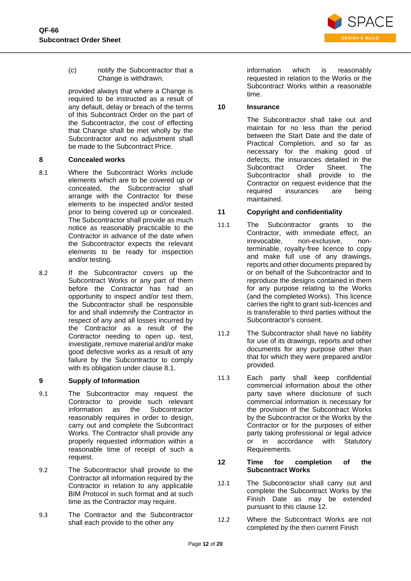

(c) notify the Subcontractor that a Change is withdrawn,

provided always that where a Change is required to be instructed as a result of any default, delay or breach of the terms of this Subcontract Order on the part of the Subcontractor, the cost of effecting that Change shall be met wholly by the Subcontractor and no adjustment shall be made to the Subcontract Price.

### **8 Concealed works**

- <span id="page-11-1"></span>8.1 Where the Subcontract Works include elements which are to be covered up or concealed, the Subcontractor shall arrange with the Contractor for these elements to be inspected and/or tested prior to being covered up or concealed. The Subcontractor shall provide as much notice as reasonably practicable to the Contractor in advance of the date when the Subcontractor expects the relevant elements to be ready for inspection and/or testing.
- 8.2 If the Subcontractor covers up the Subcontract Works or any part of them before the Contractor has had an opportunity to inspect and/or test them, the Subcontractor shall be responsible for and shall indemnify the Contractor in respect of any and all losses incurred by the Contractor as a result of the Contractor needing to open up, test, investigate, remove material and/or make good defective works as a result of any failure by the Subcontractor to comply with its obligation under clause [8.1.](#page-11-1)

## **9 Supply of Information**

- 9.1 The Subcontractor may request the Contractor to provide such relevant information as the Subcontractor reasonably requires in order to design, carry out and complete the Subcontract Works. The Contractor shall provide any properly requested information within a reasonable time of receipt of such a request.
- 9.2 The Subcontractor shall provide to the Contractor all information required by the Contractor in relation to any applicable BIM Protocol in such format and at such time as the Contractor may require.
- 9.3 The Contractor and the Subcontractor shall each provide to the other any

information which is reasonably requested in relation to the Works or the Subcontract Works within a reasonable time.

## **10 Insurance**

The Subcontractor shall take out and maintain for no less than the period between the Start Date and the date of Practical Completion, and so far as necessary for the making good of defects, the insurances detailed in the Subcontract Order Sheet. The Subcontractor shall provide to the Contractor on request evidence that the required insurances are being maintained.

## **11 Copyright and confidentiality**

- 11.1 The Subcontractor grants to the Contractor, with immediate effect, an irrevocable, non-exclusive, nonterminable, royalty-free licence to copy and make full use of any drawings, reports and other documents prepared by or on behalf of the Subcontractor and to reproduce the designs contained in them for any purpose relating to the Works (and the completed Works). This licence carries the right to grant sub-licences and is transferable to third parties without the Subcontractor's consent.
- 11.2 The Subcontractor shall have no liability for use of its drawings, reports and other documents for any purpose other than that for which they were prepared and/or provided.
- 11.3 Each party shall keep confidential commercial information about the other party save where disclosure of such commercial information is necessary for the provision of the Subcontract Works by the Subcontractor or the Works by the Contractor or for the purposes of either party taking professional or legal advice or in accordance with Statutory Requirements.

#### <span id="page-11-0"></span>**12 Time for completion of the Subcontract Works**

- 12.1 The Subcontractor shall carry out and complete the Subcontract Works by the Finish Date as may be extended pursuant to this clause [12.](#page-11-0)
- 12.2 Where the Subcontract Works are not completed by the then current Finish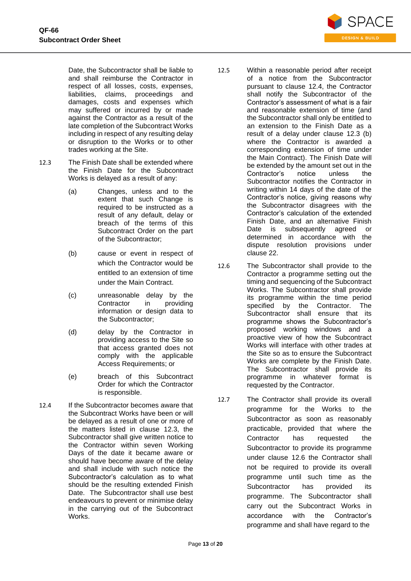

Date, the Subcontractor shall be liable to and shall reimburse the Contractor in respect of all losses, costs, expenses, liabilities, claims, proceedings and damages, costs and expenses which may suffered or incurred by or made against the Contractor as a result of the late completion of the Subcontract Works including in respect of any resulting delay or disruption to the Works or to other trades working at the Site.

- <span id="page-12-0"></span>12.3 The Finish Date shall be extended where the Finish Date for the Subcontract Works is delayed as a result of any:
	- (a) Changes, unless and to the extent that such Change is required to be instructed as a result of any default, delay or breach of the terms of this Subcontract Order on the part of the Subcontractor;
	- (b) cause or event in respect of which the Contractor would be entitled to an extension of time under the Main Contract.
	- (c) unreasonable delay by the Contractor in providing information or design data to the Subcontractor;
	- (d) delay by the Contractor in providing access to the Site so that access granted does not comply with the applicable Access Requirements; or
	- (e) breach of this Subcontract Order for which the Contractor is responsible.
- <span id="page-12-1"></span>12.4 If the Subcontractor becomes aware that the Subcontract Works have been or will be delayed as a result of one or more of the matters listed in clause [12.3,](#page-12-0) the Subcontractor shall give written notice to the Contractor within seven Working Days of the date it became aware or should have become aware of the delay and shall include with such notice the Subcontractor's calculation as to what should be the resulting extended Finish Date. The Subcontractor shall use best endeavours to prevent or minimise delay in the carrying out of the Subcontract Works.
- 12.5 Within a reasonable period after receipt of a notice from the Subcontractor pursuant to clause [12.4,](#page-12-1) the Contractor shall notify the Subcontractor of the Contractor's assessment of what is a fair and reasonable extension of time (and the Subcontractor shall only be entitled to an extension to the Finish Date as a result of a delay under clause 12.3 (b) where the Contractor is awarded a corresponding extension of time under the Main Contract). The Finish Date will be extended by the amount set out in the Contractor's notice unless the Subcontractor notifies the Contractor in writing within 14 days of the date of the Contractor's notice, giving reasons why the Subcontractor disagrees with the Contractor's calculation of the extended Finish Date, and an alternative Finish Date is subsequently agreed or determined in accordance with the dispute resolution provisions under clause [22.](#page-18-0)
- <span id="page-12-2"></span>12.6 The Subcontractor shall provide to the Contractor a programme setting out the timing and sequencing of the Subcontract Works. The Subcontractor shall provide its programme within the time period specified by the Contractor. The Subcontractor shall ensure that its programme shows the Subcontractor's proposed working windows and a proactive view of how the Subcontract Works will interface with other trades at the Site so as to ensure the Subcontract Works are complete by the Finish Date. The Subcontractor shall provide its programme in whatever format is requested by the Contractor.
- 12.7 The Contractor shall provide its overall programme for the Works to the Subcontractor as soon as reasonably practicable, provided that where the Contractor has requested the Subcontractor to provide its programme under clause [12.6](#page-12-2) the Contractor shall not be required to provide its overall programme until such time as the Subcontractor has provided its programme. The Subcontractor shall carry out the Subcontract Works in accordance with the Contractor's programme and shall have regard to the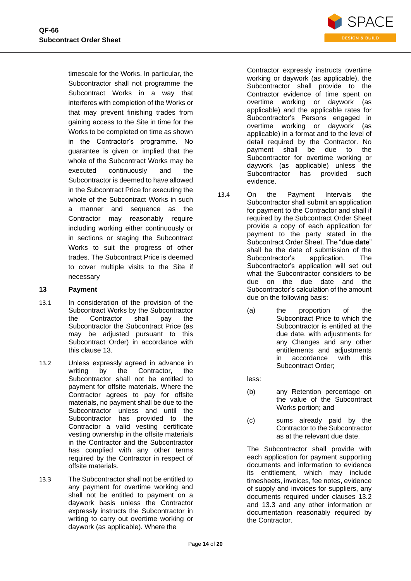

timescale for the Works. In particular, the Subcontractor shall not programme the Subcontract Works in a way that interferes with completion of the Works or that may prevent finishing trades from gaining access to the Site in time for the Works to be completed on time as shown in the Contractor's programme. No guarantee is given or implied that the whole of the Subcontract Works may be executed continuously and the Subcontractor is deemed to have allowed in the Subcontract Price for executing the whole of the Subcontract Works in such a manner and sequence as the Contractor may reasonably require including working either continuously or in sections or staging the Subcontract Works to suit the progress of other trades. The Subcontract Price is deemed to cover multiple visits to the Site if necessary

#### <span id="page-13-0"></span>**13 Payment**

- 13.1 In consideration of the provision of the Subcontract Works by the Subcontractor the Contractor shall pay the Subcontractor the Subcontract Price (as may be adjusted pursuant to this Subcontract Order) in accordance with this clause [13.](#page-13-0)
- <span id="page-13-1"></span>13.2 Unless expressly agreed in advance in writing by the Contractor, the Subcontractor shall not be entitled to payment for offsite materials. Where the Contractor agrees to pay for offsite materials, no payment shall be due to the Subcontractor unless and until the Subcontractor has provided to the Contractor a valid vesting certificate vesting ownership in the offsite materials in the Contractor and the Subcontractor has complied with any other terms required by the Contractor in respect of offsite materials.
- <span id="page-13-2"></span>13.3 The Subcontractor shall not be entitled to any payment for overtime working and shall not be entitled to payment on a daywork basis unless the Contractor expressly instructs the Subcontractor in writing to carry out overtime working or daywork (as applicable). Where the

Contractor expressly instructs overtime working or daywork (as applicable), the Subcontractor shall provide to the Contractor evidence of time spent on overtime working or daywork (as applicable) and the applicable rates for Subcontractor's Persons engaged in overtime working or daywork (as applicable) in a format and to the level of detail required by the Contractor. No payment shall be due to the Subcontractor for overtime working or daywork (as applicable) unless the Subcontractor has provided such evidence.

- 13.4 On the Payment Intervals the Subcontractor shall submit an application for payment to the Contractor and shall if required by the Subcontract Order Sheet provide a copy of each application for payment to the party stated in the Subcontract Order Sheet. The "**due date**" shall be the date of submission of the Subcontractor's application. The Subcontractor's application will set out what the Subcontractor considers to be due on the due date and the Subcontractor's calculation of the amount due on the following basis:
	- (a) the proportion of the Subcontract Price to which the Subcontractor is entitled at the due date, with adjustments for any Changes and any other entitlements and adjustments in accordance with this Subcontract Order;
	- less:
	- (b) any Retention percentage on the value of the Subcontract Works portion; and
	- (c) sums already paid by the Contractor to the Subcontractor as at the relevant due date.

The Subcontractor shall provide with each application for payment supporting documents and information to evidence its entitlement, which may include timesheets, invoices, fee notes, evidence of supply and invoices for suppliers, any documents required under clauses [13.2](#page-13-1) and [13.3](#page-13-2) and any other information or documentation reasonably required by the Contractor.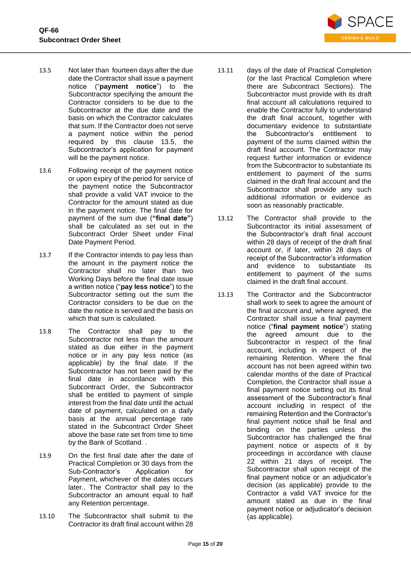

- <span id="page-14-0"></span>13.5 Not later than fourteen days after the due date the Contractor shall issue a payment notice ("**payment notice**") to the Subcontractor specifying the amount the Contractor considers to be due to the Subcontractor at the due date and the basis on which the Contractor calculates that sum. If the Contractor does not serve a payment notice within the period required by this clause [13.5,](#page-14-0) the Subcontractor's application for payment will be the payment notice.
- 13.6 Following receipt of the payment notice or upon expiry of the period for service of the payment notice the Subcontractor shall provide a valid VAT invoice to the Contractor for the amount stated as due in the payment notice. The final date for payment of the sum due (**"final date"**) shall be calculated as set out in the Subcontract Order Sheet under Final Date Payment Period.
- 13.7 If the Contractor intends to pay less than the amount in the payment notice the Contractor shall no later than two Working Days before the final date issue a written notice ("**pay less notice**") to the Subcontractor setting out the sum the Contractor considers to be due on the date the notice is served and the basis on which that sum is calculated.
- 13.8 The Contractor shall pay to the Subcontractor not less than the amount stated as due either in the payment notice or in any pay less notice (as applicable) by the final date. If the Subcontractor has not been paid by the final date in accordance with this Subcontract Order, the Subcontractor shall be entitled to payment of simple interest from the final date until the actual date of payment, calculated on a daily basis at the annual percentage rate stated in the Subcontract Order Sheet above the base rate set from time to time by the Bank of Scotland. .
- 13.9 On the first final date after the date of Practical Completion or 30 days from the<br>Sub-Contractor's Application for Sub-Contractor's Application for Payment, whichever of the dates occurs later.. The Contractor shall pay to the Subcontractor an amount equal to half any Retention percentage.
- 13.10 The Subcontractor shall submit to the Contractor its draft final account within 28
- 13.11 days of the date of Practical Completion (or the last Practical Completion where there are Subcontract Sections). The Subcontractor must provide with its draft final account all calculations required to enable the Contractor fully to understand the draft final account, together with documentary evidence to substantiate the Subcontractor's entitlement to payment of the sums claimed within the draft final account. The Contractor may request further information or evidence from the Subcontractor to substantiate its entitlement to payment of the sums claimed in the draft final account and the Subcontractor shall provide any such additional information or evidence as soon as reasonably practicable.
- 13.12 The Contractor shall provide to the Subcontractor its initial assessment of the Subcontractor's draft final account within 28 days of receipt of the draft final account or, if later, within 28 days of receipt of the Subcontractor's information and evidence to substantiate its entitlement to payment of the sums claimed in the draft final account.
- <span id="page-14-1"></span>13.13 The Contractor and the Subcontractor shall work to seek to agree the amount of the final account and, where agreed, the Contractor shall issue a final payment notice ("**final payment notice**") stating the agreed amount due to the Subcontractor in respect of the final account, including in respect of the remaining Retention. Where the final account has not been agreed within two calendar months of the date of Practical Completion, the Contractor shall issue a final payment notice setting out its final assessment of the Subcontractor's final account including in respect of the remaining Retention and the Contractor's final payment notice shall be final and binding on the parties unless the Subcontractor has challenged the final payment notice or aspects of it by proceedings in accordance with clause [22](#page-18-0) within 21 days of receipt. The Subcontractor shall upon receipt of the final payment notice or an adjudicator's decision (as applicable) provide to the Contractor a valid VAT invoice for the amount stated as due in the final payment notice or adjudicator's decision (as applicable).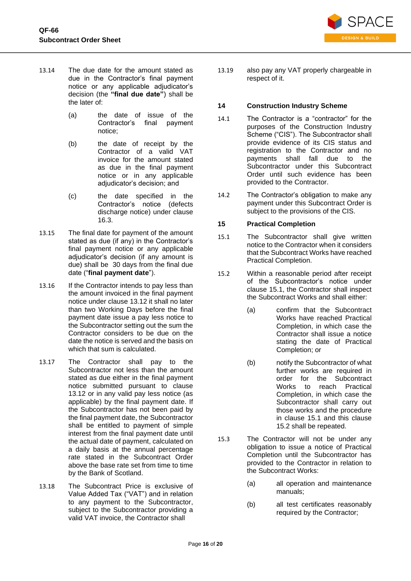

- 13.14 The due date for the amount stated as due in the Contractor's final payment notice or any applicable adjudicator's decision (the **"final due date"**) shall be the later of:
	- (a) the date of issue of the Contractor's final payment notice;
	- (b) the date of receipt by the Contractor of a valid VAT invoice for the amount stated as due in the final payment notice or in any applicable adjudicator's decision; and
	- (c) the date specified in the Contractor's notice (defects discharge notice) under clause [16.3.](#page-16-0)
- 13.15 The final date for payment of the amount stated as due (if any) in the Contractor's final payment notice or any applicable adjudicator's decision (if any amount is due) shall be 30 days from the final due date ("**final payment date**").
- 13.16 If the Contractor intends to pay less than the amount invoiced in the final payment notice under clause [13.12](#page-14-1) it shall no later than two Working Days before the final payment date issue a pay less notice to the Subcontractor setting out the sum the Contractor considers to be due on the date the notice is served and the basis on which that sum is calculated.
- 13.17 The Contractor shall pay to the Subcontractor not less than the amount stated as due either in the final payment notice submitted pursuant to clause [13.12](#page-14-1) or in any valid pay less notice (as applicable) by the final payment date. If the Subcontractor has not been paid by the final payment date, the Subcontractor shall be entitled to payment of simple interest from the final payment date until the actual date of payment, calculated on a daily basis at the annual percentage rate stated in the Subcontract Order above the base rate set from time to time by the Bank of Scotland.
- 13.18 The Subcontract Price is exclusive of Value Added Tax ("VAT") and in relation to any payment to the Subcontractor, subject to the Subcontractor providing a valid VAT invoice, the Contractor shall

13.19 also pay any VAT properly chargeable in respect of it.

## **14 Construction Industry Scheme**

- 14.1 The Contractor is a "contractor" for the purposes of the Construction Industry Scheme ("CIS"). The Subcontractor shall provide evidence of its CIS status and registration to the Contractor and no payments shall fall due to the Subcontractor under this Subcontract Order until such evidence has been provided to the Contractor.
- 14.2 The Contractor's obligation to make any payment under this Subcontract Order is subject to the provisions of the CIS.

## **15 Practical Completion**

- <span id="page-15-0"></span>15.1 The Subcontractor shall give written notice to the Contractor when it considers that the Subcontract Works have reached Practical Completion.
- <span id="page-15-1"></span>15.2 Within a reasonable period after receipt of the Subcontractor's notice under clause [15.1,](#page-15-0) the Contractor shall inspect the Subcontract Works and shall either:
	- (a) confirm that the Subcontract Works have reached Practical Completion, in which case the Contractor shall issue a notice stating the date of Practical Completion; or
	- (b) notify the Subcontractor of what further works are required in order for the Subcontract Works to reach Practical Completion, in which case the Subcontractor shall carry out those works and the procedure in clause [15.1](#page-15-0) and this clause [15.2](#page-15-1) shall be repeated.
- 15.3 The Contractor will not be under any obligation to issue a notice of Practical Completion until the Subcontractor has provided to the Contractor in relation to the Subcontract Works:
	- (a) all operation and maintenance manuals;
	- (b) all test certificates reasonably required by the Contractor;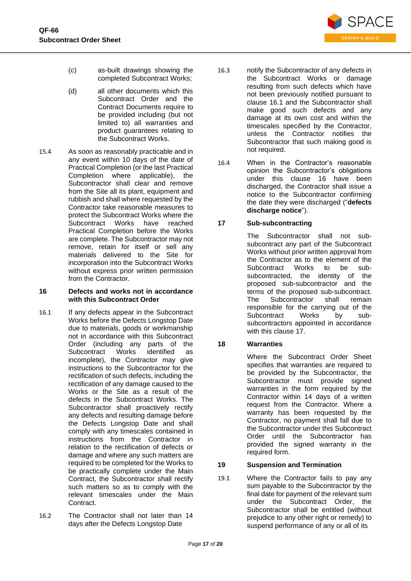

- (c) as-built drawings showing the completed Subcontract Works;
- (d) all other documents which this Subcontract Order and the Contract Documents require to be provided including (but not limited to) all warranties and product guarantees relating to the Subcontract Works.
- 15.4 As soon as reasonably practicable and in any event within 10 days of the date of Practical Completion (or the last Practical Completion where applicable), the Subcontractor shall clear and remove from the Site all its plant, equipment and rubbish and shall where requested by the Contractor take reasonable measures to protect the Subcontract Works where the Subcontract Works have reached Practical Completion before the Works are complete. The Subcontractor may not remove, retain for itself or sell any materials delivered to the Site for incorporation into the Subcontract Works without express prior written permission from the Contractor.

#### <span id="page-16-2"></span>**16 Defects and works not in accordance with this Subcontract Order**

- <span id="page-16-1"></span>16.1 If any defects appear in the Subcontract Works before the Defects Longstop Date due to materials, goods or workmanship not in accordance with this Subcontract Order (including any parts of the<br>Subcontract Works identified as Subcontract Works identified as incomplete), the Contractor may give instructions to the Subcontractor for the rectification of such defects, including the rectification of any damage caused to the Works or the Site as a result of the defects in the Subcontract Works. The Subcontractor shall proactively rectify any defects and resulting damage before the Defects Longstop Date and shall comply with any timescales contained in instructions from the Contractor in relation to the rectification of defects or damage and where any such matters are required to be completed for the Works to be practically complete under the Main Contract, the Subcontractor shall rectify such matters so as to comply with the relevant timescales under the Main Contract.
- 16.2 The Contractor shall not later than 14 days after the Defects Longstop Date
- 16.3 notify the Subcontractor of any defects in the Subcontract Works or damage resulting from such defects which have not been previously notified pursuant to clause [16.1](#page-16-1) and the Subcontractor shall make good such defects and any damage at its own cost and within the timescales specified by the Contractor, unless the Contractor notifies the Subcontractor that such making good is not required.
- <span id="page-16-0"></span>16.4 When in the Contractor's reasonable opinion the Subcontractor's obligations under this clause [16](#page-16-2) have been discharged, the Contractor shall issue a notice to the Subcontractor confirming the date they were discharged ("**defects discharge notice**").

## <span id="page-16-3"></span>**17 Sub-subcontracting**

The Subcontractor shall not subsubcontract any part of the Subcontract Works without prior written approval from the Contractor as to the element of the<br>Subcontract Works to be sub-Subcontract Works to be subsubcontracted, the identity of the proposed sub-subcontractor and the terms of the proposed sub-subcontract. The Subcontractor shall remain responsible for the carrying out of the Subcontract Works by subsubcontractors appointed in accordance with this clause [17.](#page-16-3)

# **18 Warranties**

Where the Subcontract Order Sheet specifies that warranties are required to be provided by the Subcontractor, the Subcontractor must provide signed warranties in the form required by the Contractor within 14 days of a written request from the Contractor. Where a warranty has been requested by the Contractor, no payment shall fall due to the Subcontractor under this Subcontract Order until the Subcontractor has provided the signed warranty in the required form.

## **19 Suspension and Termination**

<span id="page-16-4"></span>19.1 Where the Contractor fails to pay any sum payable to the Subcontractor by the final date for payment of the relevant sum under the Subcontract Order, the Subcontractor shall be entitled (without prejudice to any other right or remedy) to suspend performance of any or all of its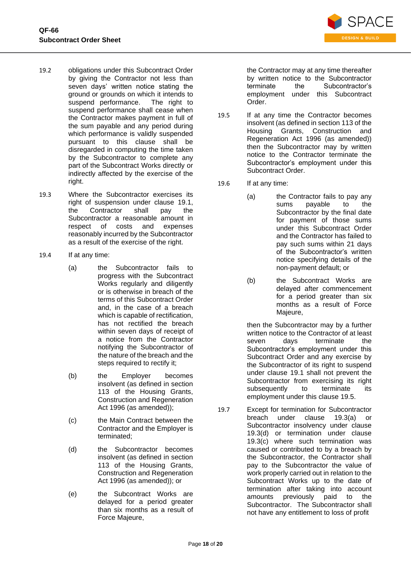

- 19.2 obligations under this Subcontract Order by giving the Contractor not less than seven days' written notice stating the ground or grounds on which it intends to suspend performance. The right to suspend performance shall cease when the Contractor makes payment in full of the sum payable and any period during which performance is validly suspended pursuant to this clause shall be disregarded in computing the time taken by the Subcontractor to complete any part of the Subcontract Works directly or indirectly affected by the exercise of the right.
- 19.3 Where the Subcontractor exercises its right of suspension under clause [19.1,](#page-16-4) the Contractor shall pay the Subcontractor a reasonable amount in respect of costs and expenses reasonably incurred by the Subcontractor as a result of the exercise of the right.
- <span id="page-17-3"></span><span id="page-17-1"></span>19.4 If at any time:
	- (a) the Subcontractor fails to progress with the Subcontract Works regularly and diligently or is otherwise in breach of the terms of this Subcontract Order and, in the case of a breach which is capable of rectification, has not rectified the breach within seven days of receipt of a notice from the Contractor notifying the Subcontractor of the nature of the breach and the steps required to rectify it;
	- (b) the Employer becomes insolvent (as defined in section 113 of the Housing Grants, Construction and Regeneration Act 1996 (as amended));
	- (c) the Main Contract between the Contractor and the Employer is terminated;
	- (d) the Subcontractor becomes insolvent (as defined in section 113 of the Housing Grants, Construction and Regeneration Act 1996 (as amended)); or
	- (e) the Subcontract Works are delayed for a period greater than six months as a result of Force Majeure,

the Contractor may at any time thereafter by written notice to the Subcontractor terminate the Subcontractor's employment under this Subcontract Order.

- 19.5 If at any time the Contractor becomes insolvent (as defined in section 113 of the Housing Grants, Construction and Regeneration Act 1996 (as amended)) then the Subcontractor may by written notice to the Contractor terminate the Subcontractor's employment under this Subcontract Order.
- <span id="page-17-0"></span>19.6 If at any time:
	- (a) the Contractor fails to pay any sums payable to the Subcontractor by the final date for payment of those sums under this Subcontract Order and the Contractor has failed to pay such sums within 21 days of the Subcontractor's written notice specifying details of the non-payment default; or
	- (b) the Subcontract Works are delayed after commencement for a period greater than six months as a result of Force Majeure,

then the Subcontractor may by a further written notice to the Contractor of at least seven days terminate the Subcontractor's employment under this Subcontract Order and any exercise by the Subcontractor of its right to suspend under clause [19.1](#page-16-4) shall not prevent the Subcontractor from exercising its right subsequently to terminate its employment under this clause [19.5.](#page-17-0)

<span id="page-17-2"></span>19.7 Except for termination for Subcontractor breach under clause [19.3\(a\)](#page-17-1) or Subcontractor insolvency under clause [19.3\(d\)](#page-17-2) or termination under clause [19.3\(c\)](#page-17-3) where such termination was caused or contributed to by a breach by the Subcontractor, the Contractor shall pay to the Subcontractor the value of work properly carried out in relation to the Subcontract Works up to the date of termination after taking into account amounts previously paid to the Subcontractor. The Subcontractor shall not have any entitlement to loss of profit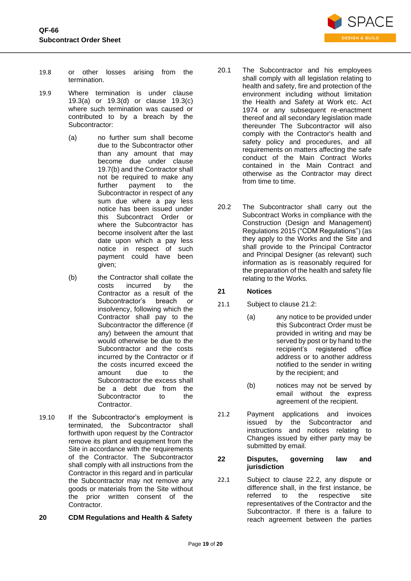

- 19.8 or other losses arising from the termination.
- 19.9 Where termination is under clause [19.3\(a\)](#page-17-1) or [19.3\(d\)](#page-17-2) or clause [19.3\(c\)](#page-17-3) where such termination was caused or contributed to by a breach by the Subcontractor:
	- (a) no further sum shall become due to the Subcontractor other than any amount that may become due under clause [19.7\(b\)](#page-18-1) and the Contractor shall not be required to make any further payment to the Subcontractor in respect of any sum due where a pay less notice has been issued under this Subcontract Order or where the Subcontractor has become insolvent after the last date upon which a pay less notice in respect of such payment could have been given;
	- (b) the Contractor shall collate the costs incurred by the Contractor as a result of the Subcontractor's breach or insolvency, following which the Contractor shall pay to the Subcontractor the difference (if any) between the amount that would otherwise be due to the Subcontractor and the costs incurred by the Contractor or if the costs incurred exceed the amount due to the Subcontractor the excess shall be a debt due from the Subcontractor to the Contractor.
- <span id="page-18-1"></span>19.10 If the Subcontractor's employment is terminated, the Subcontractor shall forthwith upon request by the Contractor remove its plant and equipment from the Site in accordance with the requirements of the Contractor. The Subcontractor shall comply with all instructions from the Contractor in this regard and in particular the Subcontractor may not remove any goods or materials from the Site without the prior written consent of the Contractor.

## **20 CDM Regulations and Health & Safety**

- 20.1 The Subcontractor and his employees shall comply with all legislation relating to health and safety, fire and protection of the environment including without limitation the Health and Safety at Work etc. Act 1974 or any subsequent re-enactment thereof and all secondary legislation made thereunder The Subcontractor will also comply with the Contractor's health and safety policy and procedures, and all requirements on matters affecting the safe conduct of the Main Contract Works contained in the Main Contract and otherwise as the Contractor may direct from time to time.
- 20.2 The Subcontractor shall carry out the Subcontract Works in compliance with the Construction (Design and Management) Regulations 2015 ("CDM Regulations") (as they apply to the Works and the Site and shall provide to the Principal Contractor and Principal Designer (as relevant) such information as is reasonably required for the preparation of the health and safety file relating to the Works*.*

## **21 Notices**

- 21.1 Subject to clause [21.2:](#page-18-2)
	- (a) any notice to be provided under this Subcontract Order must be provided in writing and may be served by post or by hand to the recipient's registered office address or to another address notified to the sender in writing by the recipient; and
		- (b) notices may not be served by email without the express agreement of the recipient.
- <span id="page-18-2"></span>21.2 Payment applications and invoices issued by the Subcontractor and instructions and notices relating to Changes issued by either party may be submitted by email.

#### <span id="page-18-0"></span>**22 Disputes, governing law and jurisdiction**

22.1 Subject to clause [22.2,](#page-19-0) any dispute or difference shall, in the first instance, be referred to the respective site representatives of the Contractor and the Subcontractor. If there is a failure to reach agreement between the parties